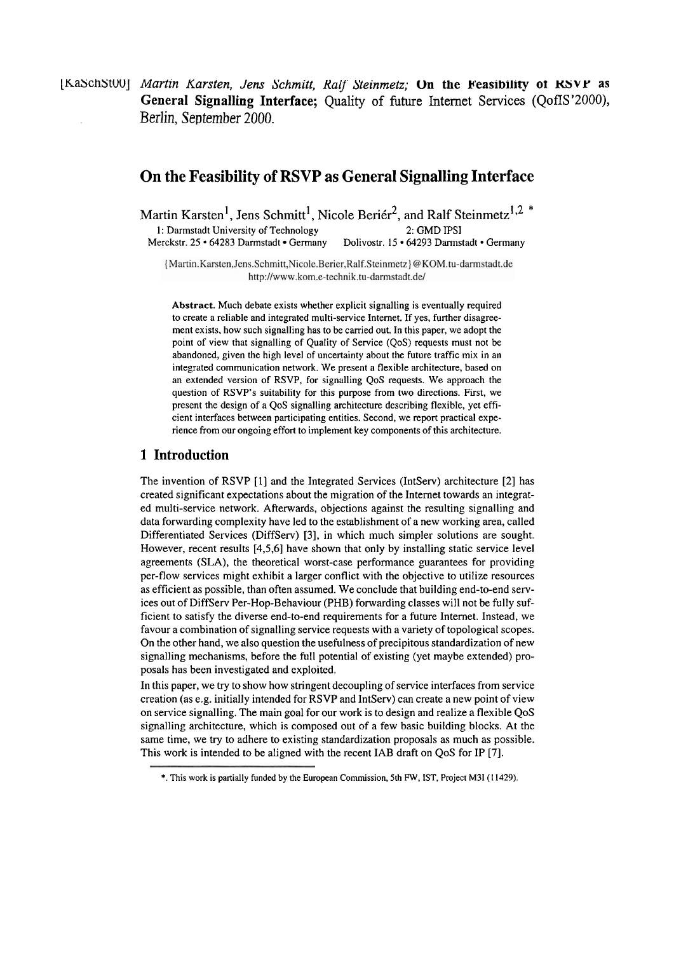# [KaSchStUUJ *Martin Karsten, Jens Schmitt, Kau. Steinmetz;* **Un the Feasibility 01 KS V Y as General Signalling Interface;** Quality of future Internet Services (QofIS'2000), Berlin, September 2000.

# **On the Feasibility of RSVP as General Signalling Interface**

Martin Karsten<sup>1</sup>, Jens Schmitt<sup>1</sup>, Nicole Beriér<sup>2</sup>, and Ralf Steinmetz<sup>1,2 \*</sup> 1: Darmstadt University of Technology 2: GMD IPSI Merckstr. 25 · 64283 Darmstadt · Germany Dolivostr. 15 · 64293 Darmstadt · Germany

{Martin.Karsten,Jens.Schmitt,Nicole.Berier,Ralf.Steinmetz} @KOM.tu-darmstadt.de http://www.kom.e-technik.tu-darmstadt.de/

Abstract. Much debate exists whether explicit signalling is eventually required to create a reliable and integrated multi-service Internet. If yes, further disagreement exists, how such signalling has to be carried out. In this paper, we adopt the point of view that signalling of Quality of Service (QoS) requests must not be abandoned, given the high level of uncertainty about the future traffic mix in an integrated communication network. We present a flexible architecture, based on an extended version of **RSVP,** for signalling QoS requests. We approach the question of RSVP's suitability for this purpose from two directions. First, we present the design of a QoS signalling architecture describing flexible, yet efficient interfaces between participating entities. Second, we report practical experience from our ongoing effort to implement key components of this architecture.

## **1 Introduction**

The invention of RSVP [I] and the Integrated Services (IntServ) architecture [2] has created significant expectations about the migration of the Internet towards an integrated multi-service network. Afterwards, objections against the resulting signalling and data forwarding complexity have led to the establishment of a new working area, called Differentiated Services (DiffServ) [3], in which much simpler solutions are sought. However, recent results [4,5,6] have shown that only by installing static service level agreements (SLA), the theoretical worst-case performance guarantees for providing per-flow services rnight exhibit a larger conflict with the objective to utilize resources as efficient as possible, than often assumed. We conclude that building end-to-end services out of DiffServ Per-Hop-Behaviour (PHB) forwarding classes will not be fully sufficient to satisfy the diverse end-to-end requirements for a future Internet. Instead, we favour a combination of signalling service requests with a variety of topological scopes. On the other hand, we also question the usefulness of precipitous standardization of new signalling mechanisms, before the full potential of existing (yet maybe extended) proposals has been investigated and exploited.

In this paper, we try to show how stringent decoupling of service interfaces from service creation (as e.g. initialiy intended for RSVP and IntServ) can create a new point of view on service signalling. The main goal for our work is to design and realize a flexible QoS signalling architecture, which is composed out of a few basic building blocks. At the same time, we try to adhere to existing standardization proposals as much as possible. This work is intended to be aligned with the recent IAB draft on QoS for IP [7].

<sup>\*.</sup> This work is partially funded by the European Commission. 5th **FW,** IST. Project M31 **(1** 1429).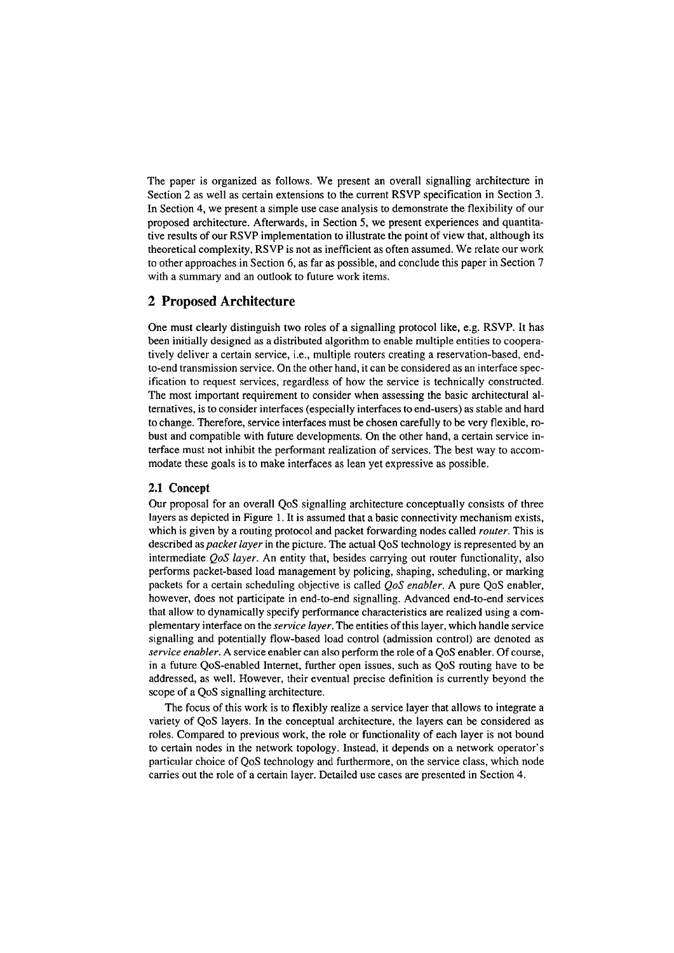The paper is organized as follows. We present an overall signalling architecture in Section 2 as well as certain extensions to the current RSVP specification in Section **3.**  In Section 4, we present a simple use case analysis to demonstrate the flexibility of our proposed architecture. Afterwards, in Section 5, we present experiences and quantitative results of our RSVP implementation to illustrate the point of view that, although its theoretical complexity, RSVP is not as inefficient as often assumed. We relate our work to other approaches in Section 6, as far as possible, and conclude this paper in Section 7 with a surnmary and an outlook to future work items.

## **2 Proposed Architecture**

One must clearly distinguish two roles of a signalling protocol like, e.g. RSVP. It has been initially designed as a distributed algorithm to enable multiple entities to cooperatively deliver a certain service, i.e., multiple routers creating a reservation-based, endto-end transmission service. On the other hand, it can be considered as an interface specification to request services, regardless of how the service is technically constructed. The most important requirement to consider when assessing the basic architectural alternatives, is to consider interfaces (especially interfaces to end-users) as stable and hard to change. Therefore, service interfaces must be chosen carefully to be very flexible, robust and compatible with future developments. On the other hand, a certain service interface must not inhibit the performant realization of services. The best way to accommodate these goals is to make interfaces as lean yet expressive as possible.

### **2.1 Concept**

Our proposal for an overall QoS signalling architecture conceptually consists of three layers as depicted in Figure 1. It is assumed that a basic connectivity mechanism exists, which is given by a routing protocol and packet forwarding nodes called *router.* This is described as *packet layer* in the picture. The actual QoS technology is represented by an intermediate *QoS layer.* An entity that, besides carrying out router functionality, also performs packet-based load management by policing, shaping, scheduling, or marking packets for a certain scheduling objective is called *QoS enabler.* A pure QoS enabler, however, does not participate in end-to-end signalling. Advanced end-to-end services that allow to dynamically specify performance characteristics are realized using a complementary interface on the *sentice layer.* The entities of this layer, which handle service signalling and potentially flow-based load control (admission control) are denoted as *service enabler*. A service enabler can also perform the role of a QoS enabler. Of course, in a future QoS-enabled Internet, further Open issues, such as QoS routing have to be addressed, as well. However, their eventual precise definition is currently beyond the scope of a QoS signalling architecture.

The focus of this work is to flexibly realize a service layer that allows to integrate a variety of QoS layers. In the conceptual architecture, the layers can be considered as roles. Compared to previous work, the role or functionality of each layer is not bound to certain nodes in the network topology. Instead, it depends on a network operator's particular choice of QoS technology and furthermore, on the service class, which node carries out the role of a certain layer. Detailed use cases are presented in Section 4.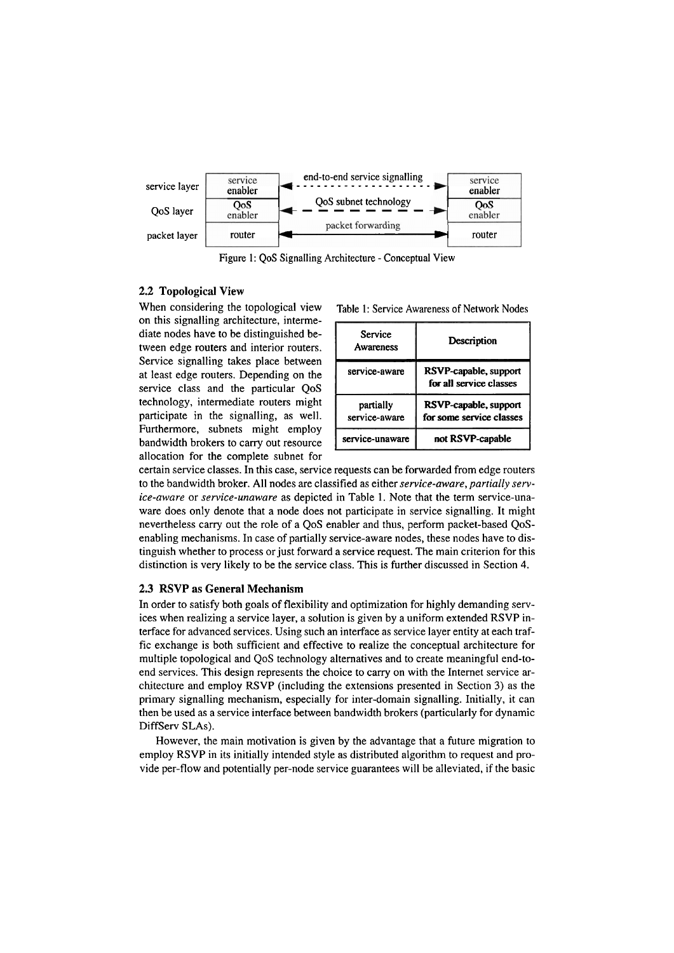

Figure 1: QoS Signalling Architecture - Conceptual View

### **2.2 Topological View**

When considering the topological view on this signalling architecture, intermediate nodes have to be distinguished between edge routers and interior routers. Service signalling takes place between at least edge routers. Depending on the service class and the particular QoS technology, intermediate routers might participate in the signalling, as well. Furthermore, subnets might employ bandwidth brokers to carry out resource allocation for the complete subnet for

| <b>Table 1: Service Awareness of Network Nodes</b> |  |  |  |
|----------------------------------------------------|--|--|--|
|----------------------------------------------------|--|--|--|

| Service<br>Awareness       | Description                                       |
|----------------------------|---------------------------------------------------|
| service-aware              | RSVP-capable, support<br>for all service classes  |
| partially<br>service-aware | RSVP-capable, support<br>for some service classes |
| service-unaware            | not RSVP-capable                                  |

certain service classes. In this case, service requests can be forwarded from edge routers to the bandwidth broker. All nodes are classified as either *service-aware, partially service-aware* or *service-unaware* as depicted in Table 1. Note that the term service-una-Ware does only denote that a node does not participate in service signalling. It might nevertheless carry out the role of a QoS enabler and thus, perform packet-based QoSenabling mechanisms. In case of partially service-aware nodes, these nodes have to distinguish whether to process or just forward a service request. The main criterion for this distinction is very likely to be the service class. This is further discussed in Section 4.

#### **2.3 RSVP as General Mechanism**

In order to satisfy both goals of flexibility and optimization for highly demanding services when realizing a service layer, a solution is given by a uniform extended RSVP interface for advanced services. Using such an interface as service layer entity at each traffic exchange is both sufficient and effective to realize the conceptual architecture for multiple topological and QoS technology alternatives and to create meaningful end-toend services. This design represents the choice to carry on with the Internet service architecture and employ RSVP (including the extensions presented in Section **3)** as the primary signalling mechanism, especially for inter-domain signalling. Initially, it can then be used as a service interface between bandwidth brokers (particularly for dynamic DiffServ SLAs).

However, the main motivation is given by the advantage that a future migration to employ RSVP in its initially intended style as distributed algorithm to request and provide per-flow and potentially per-node service guarantees will be alleviated, if the basic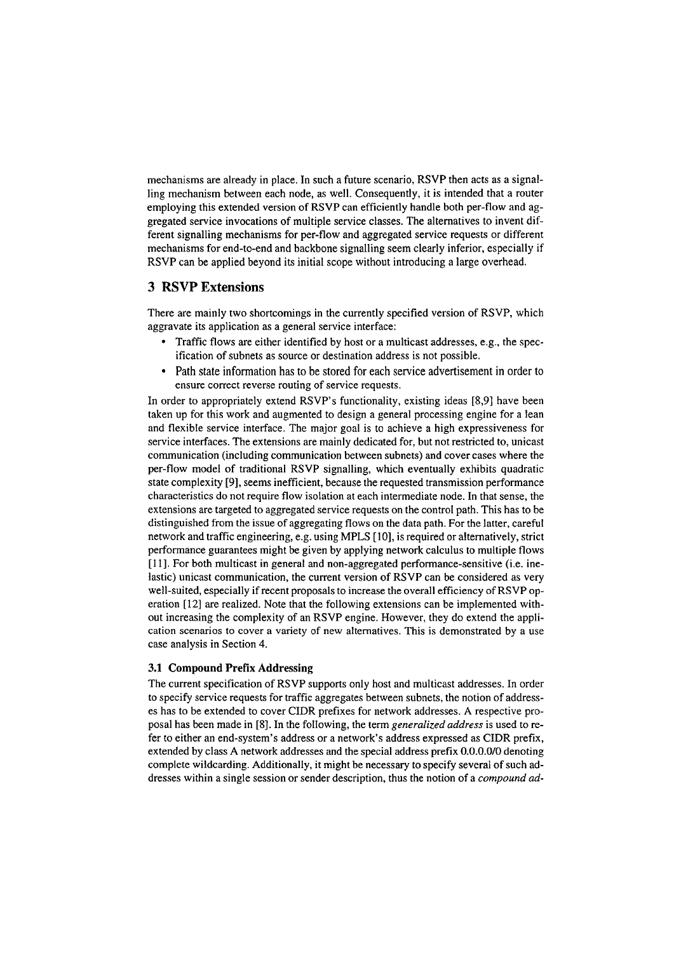mechanisms are already in place. In such a future scenario, RSVP then acts as a signalling mechanism between each node, as well. Consequently, it is intended that a router employing this extended version of RSVP can efficiently handle both per-flow and aggregated service invocations of multiple service classes. The alternatives to invent different signalling mechanisms for per-flow and aggregated service requests or different mechanisms for end-to-end and backbone signalling seem clearly inferior, especially if RSVP can be applied beyond its initial scope without introducing a large overhead.

## **3 RSVP Extensions**

There are mainly two shortcomings in the currently specified version of RSVP, which aggravate its application as a general service interface:

- Traffic flows are either identified by host or a multicast addresses, e.g., the specification of subnets as source or destination address is not possible.
- Path state information has to be stored for each service advertisement in order to ensure correct reverse routing of service requests.

In order to appropriately extend RSVP's functionality, existing ideas [8,9] have been taken up for this work and augmented to design a general processing engine for a lean and flexible service interface. The major goal is to achieve a high expressiveness for semice interfaces. The extensions are mainly dedicated for, but not restricted to, unicast cornmunication (including communication between subnets) and cover cases where the per-flow model of traditional RSVP signalling, which eventually exhibits quadratic state complexity [9], seems inefficient, because the requested transmission performance characteristics do not require flow isolation at each intermediate node. In that sense, the extensions are targeted to aggregated service requests on the control path. This has to be distinguished from the issue of aggregating flows on the data path. For the latter, careful network and traffic engineering, e.g. using MPLS [10], is required or altematively, strict performance guarantees might be given by applying network calculus to multiple flows [l I]. For both multicast in general and non-aggregated performance-sensitive (i.e. inelastic) unicast communication, the current version of RSVP can be considered as very well-suited, especially if recent proposals to increase the overall efficiency of RSVP operation [12] are realized. Note that the following extensions can be implemented without increasing the complexity of an RSVP engine. However, they do extend the application scenarios to cover a variety of new alternatives. This is demonstrated by a use case analysis in Section 4.

### **3.1 Compound Prefix Addressing**

The current specification of RSVP Supports only host and multicast addresses. In order to specify service requests for traffic aggregates between subnets, the notion of addresses has to be extended to cover CIDR prefixes for network addresses. **A** respective proposal has been made in **[8].** In the following, the term *generalized address* is used to refer to either an end-system's address or a network's address expressed as CIDR prefix, extended by class A network addresses and the special address prefix 0.0.0.0/0 denoting complete wildcarding. Additionally, it might be necessary to specify several of such addresses within a single session or sender description, thus the notion of a *compound ad-*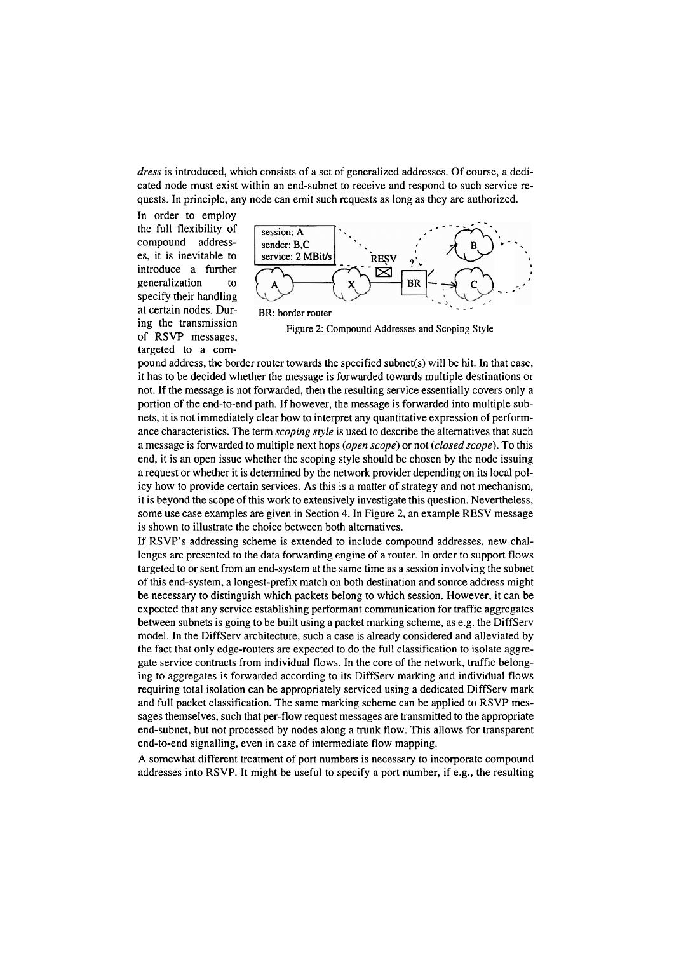dress is introduced, which consists of a set of generalized addresses. Of Course, a dedicated node must exist within an end-subnet to receive and respond to such service requests. In principle, any node can emit such requests as long as they are authorized.

In order to employ the full flexibility of compound addresses, it is inevitable to introduce a further at certain nodes. Dur-<br>BR; border router ing the transmission targeted to a com-



of RSVP messages, **Figure 2: Compound Addresses and Scoping Style** 

pound address, the border router towards the specified subnet(s) will be hit. In that case, it has to be decided whether the message is forwarded towards multiple destinations or not. If the message is not forwarded, then the resulting service essentially covers only a portion of the end-to-end path. If however, the message is forwarded into multiple subnets, it is not imrnediately clear how to interpret any quantitative expression of performance characteristics. The term *scoping style* is used to describe the alternatives that such a message is forwarded to multiple next hops (open scope) or not (closed scope). To this end, it is an Open issue whether the scoping style should be chosen by the node issuing a request or whether it is determined by the network provider depending on its local policy how to provide certain services. As this is a matter of strategy and not mechanism, it is beyond the scope of this work to extensively investigate this question. Nevertheless, some use case examples are given in Section 4. In Figure 2, an example RESV message is shown to illustrate the choice between both alternatives.

If RSVP's addressing scheme is extended to include compound addresses, new challenges are presented to the data forwarding engine of a router. In order to support flows targeted to or sent from an end-system at the same time as a session involving the subnet of this end-system, a longest-prefix match on both destination and source address might be necessary to distinguish which packets belong to which session. However, it can be expected that any service establishing performant communication for traffic aggregates between subnets is going to be built using a packet marking scheme, as e.g. the DiffServ model. In the Diffserv architecture, such a case is already considered and alleviated by the fact that only edge-routers are expected to do the full classification to isolate aggregate service contracts from individual flows. In the core of the network, traffic belonging to aggregates is forwarded according to its DiffServ marking and individual flows requiring total isolation can be appropriately serviced using a dedicated DiffServ mark and full packet classification. The same marking scheme can be applied to RSVP messages themselves, such that per-flow request messages are transmitted to the appropriate end-subnet, but not processed by nodes along a trunk flow. This allows for transparent end-to-end signalling, even in case of intermediate flow mapping.

**A** somewhat different treatment of Port numbers is necessary to incorporate compound addresses into RSVP. It might be useful to specify a port number, if e.g., the resulting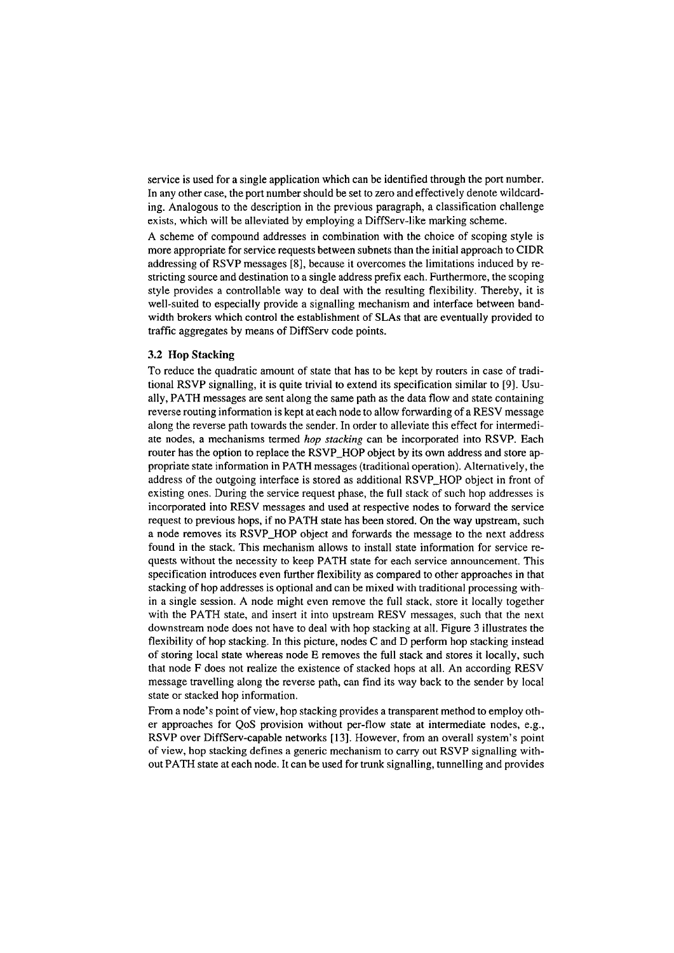service is used for a single application which can be identified through the port number. In any other case, the port number should be set to zero and effectively denote wildcarding. Analogous to the description in the previous paragraph, a classification challenge exists, which will be alleviated by employing a DiffServ-like marking scheme.

A scheme of compound addresses in combination with the choice of scoping style is more appropriate for service requests between subnets than the initial approach to CIDR addressing of RSVP messages **[8],** because it overcomes the limitations induced by restricting source and destination to a single address prefix each. Furthermore, the scoping style provides a controllable way to deal with the resulting flexibility. Thereby, it is well-suited to especially provide a signalling mechanism and interface between bandwidth brokers which control the establishment of SLAs that are eventually provided to traffic aggregates by means of DiffServ code points.

#### **3.2 Hop Stacking**

To reduce the quadratic amount of state that has to be kept by routers in case of traditional RSVP signalling, it is quite trivial to extend its specification similar to [9]. Usually, PATH messages are sent along the same path as the data flow and state containing reverse routing information is kept at each node to allow forwarding of a RESV message along the reverse path towards the sender. In order to alleviate this effect for intermediate nodes, a mechanisms termed hop **stacking** can be incorporated into RSVP. Each router has the option to replace the RSVP-HOP object by its own address and store appropriate state information in PATH messages (traditional operation). Alternatively, the address of the outgoing interface is stored as additional RSVP-HOP object in front of existing ones. During the service request phase, the full stack of such hop addresses is incorporated into RESV messages and used at respective nodes to forward the service request to previous hops, if no PATH state has been stored. On the way upstream, such a node removes its RSVP-HOP object and forwards the message to the next address found in the stack. This mechanism allows to install state information for service requests without the necessity to keep PATH state for each service announcement. This specification introduces even further flexibility as compared to other approaches in that stacking of hop addresses is optional and can be mixed with traditional processing within a single session. A node might even remove the full stack, store it locally together with the PATH state, and insert it into upstream RESV messages, such that the next downstream node does not have to deal with hop stacking at all. Figure 3 illustrates the flexibility of hop stacking. In this picture, nodes C and D perforrn hop stacking instead of storing local state whereas node E removes the full stack and Stores it locally, such that node F does not realize the existence of stacked hops at all. An according RESV message travelling along the reverse path, can find its way back to the sender by local state or stacked hop information.

From a node's point of view, hop stacking provides a transparent method to employ other approaches for QoS provision without per-flow state at intermediate nodes, e.g., RSVP over DiffServ-capable networks [13]. However, from an overall system's point of view, hop stacking defines a generic mechanism to carry out RSVP signalling without PATH state at each node. It can be used for trunk signalling, tunnelling and provides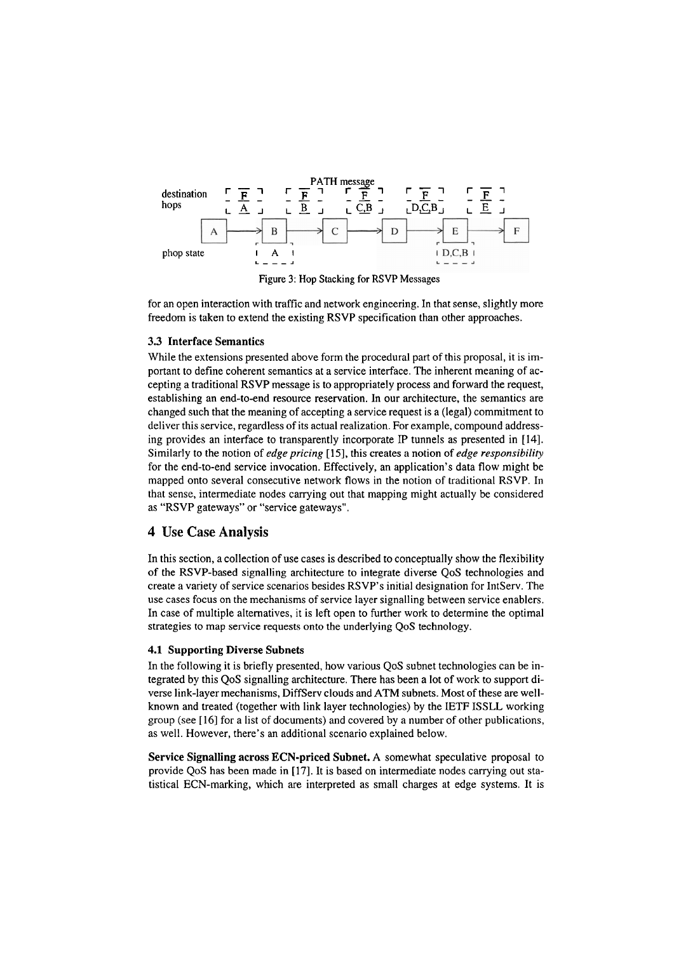

Figure **3:** Hop Stacking for RSVP Messages

for an Open interaction with traffic and network engineering. In that sense, slightly more freedom is taken to extend the existing RSVP specification than other approaches.

### **3.3 Interface Semantics**

While the extensions presented above form the procedural part of this proposal, it is important to define coherent semantics at a service interface. The inherent meaning of accepting a traditional RSVP message is to appropriately process and forward the request, establishing an end-to-end resource reservation. In our architecture, the semantics are changed such that the meaning of accepting a service request is a (legal) commitment to deliver this service, regardless of its actual realization. For example, compound addressing provides an interface to transparently incorporate IP tunnels as presented in [14]. Similarly to the notion of *edge pricing* [15], this creates a notion of *edge responsibility*  for the end-to-end service invocation. Effectively, an application's data flow might be mapped onto several consecutive network flows in the notion of traditional RSVP. In that sense, intermediate nodes carrying out that mapping might actually be considered as "RSVP gateways" or "service gateways".

## **4 Use Case Analysis**

In this section, a collection of use cases is described to conceptually show the flexibility of the RSVP-based signalling architecture to integrate diverse QoS technologies and create a variety of service scenarios besides RSVP's initial designation for IntServ. The use cases focus on the mechanisms of service layer signalling between service enablers. In case of multiple alternatives, it is left Open to further work to determine the optimal strategies to map service requests onto the underlying QoS technology.

#### **4.1 Supporting Diverse Subnets**

In the following it is briefly presented, how various QoS subnet technologies can be integrated by this QoS signalling architecture. There has been a lot of work to support diverse link-layermechanisms, DiffServ clouds and ATM subnets. Most of these are wellknown and treated (together with link layer technologies) by the JETF ISSLL working group (see 1161 for a list of documents) and covered by a number of other publications, as well. However, there's an additional scenario explained below.

**Service Signalling across ECN-priced Subnet. A** somewhat speculative proposal to provide QoS has been made in [17]. It is based on intermediate nodes carrying out statistical ECN-marking, which are interpreted as small charges at edge systems. It is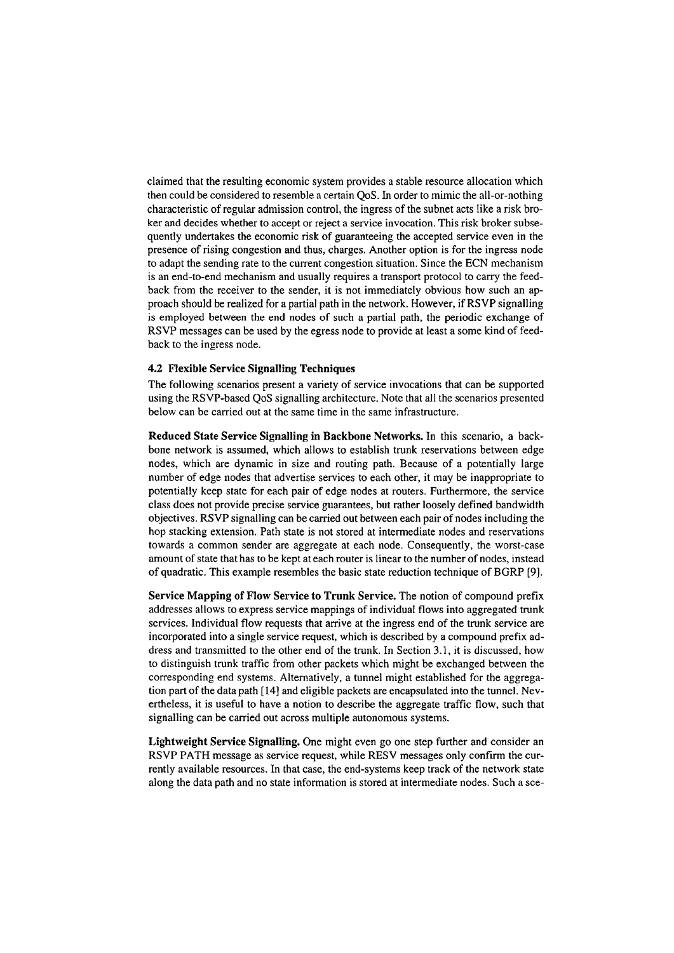claimed that the resulting economic system provides a stable resource allocation which then could be considered to resemble a certain QoS. In order to mimic the all-or-nothing characteristic of regular admission control, the ingress of the subnet acts like a risk broker and decides whether to accept or reject a service invocation. This risk broker subsequently undertakes the economic risk of guaranteeing the accepted service even in the presence of rising congestion and thus, charges. Another option is for the ingress node to adapt the sending rate to the current congestion situation. Since the ECN mechanism is an end-to-end mechanism and usually requires a transport protocol to carry the feedback from the receiver to the sender, it is not immediately obvious how such an approach should be realized for a partial path in the network. However, if RSVP signalling is employed between the end nodes of such a partial path, the periodic exchange of RSVP messages can be used by the egress node to provide at least a some kind of feedback to the ingress node.

#### **4.2 Flexible Service Signalling Techniques**

The following scenarios present a variety of service invocations that can be supported using the RSVP-based QoS signalling architecture. Note that all the scenarios presented below can be carried out at the same time in the same infrastructure.

**Reduced State Service Signalling in Backbone Networks.** In this scenario, a backbone network is assumed, which allows to establish trunk reservations between edge nodes, which are dynamic in size and routing path. Because of a potentially large number of edge nodes that advertise services to each other, it may be inappropriate to potentially keep state for each pair of edge nodes at routers. Furthermore, the service class does not provide precise service guarantees, but rather loosely defined bandwidth objectives. RSVP signalling can be carried out between each pair of nodes including the hop stacking extension. Path state is not stored at intermediate nodes and reservations towards a common sender are aggregate at each node. Consequently, the worst-case amount of state that has to be kept at each router is linear to the number of nodes, instead of quadratic. This example resembles the basic state reduction technique of BGRP **[9].** 

**Service Mapping of Flow Service to Trunk Service.** The notion of compound prefix addresses allows to express service mappings of individual flows into aggregated trunk services. Individual flow requests that arrive at the ingress end of the trunk service are incorporated into a single service request, which is described by a compound prefix address and transmitted to the other end of the trunk. In Section 3.1, it is discussed, how to distinguish trunk traffic from other packets which might be exchanged between the corresponding end systems. Alternatively, a tunnel might established for the aggregation part of the data path [I41 and eligible packets are encapsulated into the tunnel. Nevertheless, it is useful to have a notion to describe the aggregate traffic flow, such that signalling can be carried out across multiple autonomous systems.

**Lightweight Service Signalling.** One might even go one step further and consider an RSVP PATH message as service request, while RESV messages only confirm the currently available resources. In that case, the end-systems keep track of the network state along the data path and no state information is stored at intermediate nodes. Such a sce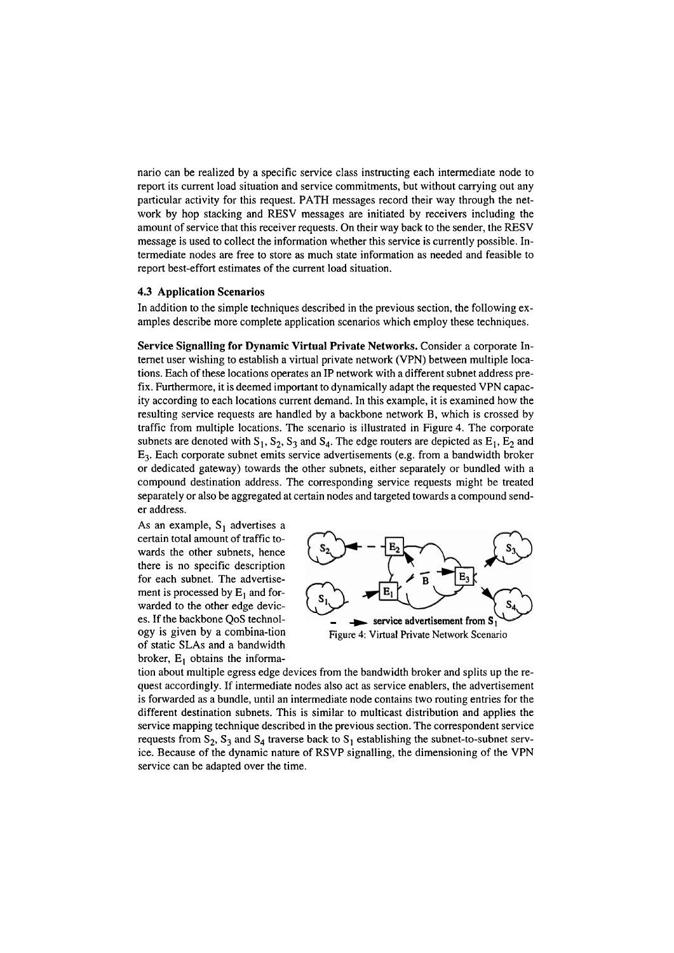nario can be realized by a specific service class instructing each intermediate node to report its current load situation and service commitments, but without carrying out any particular activity for this request. PATH messages record their way through the network by hop stacking and RESV messages are initiated by receivers including the amount of service that this receiver requests. On their way back to the sender, the RESV message is used to collect the information whether this service is currently possible. Intermediate nodes are free to Store as much state information as needed and feasible to report best-effort estimates of the current load situation.

#### **4.3 Application Scenarios**

In addition to the simple techniques described in the previous section, the following examples describe more complete application scenarios which employ these techniques.

**Service Signalling for Dynarnic Virtual Private Networks.** Consider a corporate Internet user wishing to establish a virtual private network (VPN) between multiple locations. Each of these locations operates an IP network with a different subnet address prefix. Furthermore, it is deemed important to dynamically adapt the requested VPN capacity according to each locations current demand. In this example, it is examined how the resulting service requests are handled by a backbone network B, which is crossed by traffic from multiple locations. The scenario is illustrated in Figure 4. The corporate subnets are denoted with  $S_1$ ,  $S_2$ ,  $S_3$  and  $S_4$ . The edge routers are depicted as  $E_1$ ,  $E_2$  and **E3.** Each corporate subnet emits service advertisements (e.g. from a bandwidth broker or dedicated gateway) towards the other subnets, either separately or bundled with a compound destination address. The corresponding service requests might be treated separately or also be aggregated at certain nodes and targeted towards a compound sender address.

As an example,  $S_1$  advertises a certain total amount of traffic towards the other subnets, hence there **is** no specific description for each subnet. The advertisement is processed by  $E_1$  and forof static SLAs and a bandwidth broker, **E,** obtains the informa-



tion about multiple egress edge devices from the bandwidth broker and splits up the request accordingly. If intermediate nodes also act as service enablers, the advertisement is forwarded as a bundle, until an intermediate node contains two routing entries for the different destination subnets. This is similar to multicast distribution and applies the service mapping technique described in the previous section. The correspondent service requests from  $S_2$ ,  $S_3$  and  $S_4$  traverse back to  $S_1$  establishing the subnet-to-subnet service. Because of the dynamic nature of RSVP signalling, the dimensioning of the VPN service can be adapted over the time.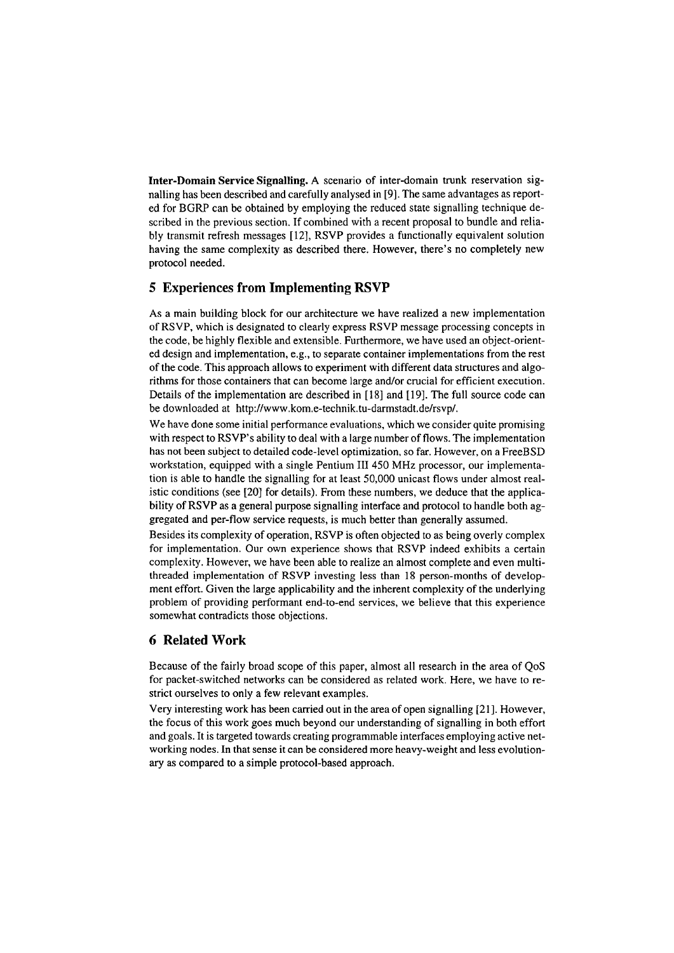**Inter-Domain Service Signalling. A** scenario of inter-domain trunk reservation signalling has been described and carefully analysed in [9]. The same advantages as reported for BGRP can be obtained by employing the reduced state signalling technique described in the previous section. If combined with a recent proposal to bundle and reliably transmit refresh messages 1121, RSVP provides a functionally equivalent solution having the same complexity as described there. However, there's no completely new protocol needed.

## **5 Experiences from Implementing RSVP**

As a main building block for our architecture we have realized a new implementation of RSVP, which is designated to clearly express RSVP message processing concepts in the code, be highly flexible and extensible. Furthermore, we have used an object-oriented design and implementation, e.g., to separate container implementations from the rest of the code. This approach allows to experiment with different data structures and algorithms for those containers that can become large and/or crucial for efficient execution. Details of the implementation are described in [18] and [19]. The full source code can be downloaded at **http://www.kom.e-technik.tu-darmstadt.de/rsvp/.** 

We have done some initial performance evaluations, which we consider quite promising with respect to RSVP's ability to deal with a large number of flows. The implementation has not been subject to detailed code-level optimization, so far. However, on a FreeBSD workstation, equipped with a single Pentium I11 450 MHz processor, our implementation is able to handle the signalling for at least 50,000 unicast flows under almost realistic conditions (see [20] for details). From these numbers, we deduce that the applicability of RSVP as a general purpose signalling interface and protocol to handle both aggregated and per-flow service requests, is much better than generally assumed.

Besides its complexity of operation, RSVP is often objected to as being overly complex for implementation. Our own experience shows that RSVP indeed exhibits a certain complexity. However, we have been able to realize an almost complete and even multithreaded implementation of RSVP investing less than 18 person-months of development effort. Given the large applicability and the inherent complexity of the underlying problem of providing performant end-to-end services, we believe that this experience somewhat contradicts those objections.

# **6 Related Work**

Because of the fairly broad scope of this paper, almost all research in the area of QoS for packet-switched networks can be considered as related work. Here, we have to restrict ourselves to only a few relevant examples.

Very interesting work has been carried out in the area of Open signalling [21]. However, the focus of this work goes much beyond our understanding of signalling in both effort and goals. It is targeted towards creating programmable interfaces employing active networking nodes. In that sense it can be considered more heavy-weight and less evolutionary as compared to a simple protocol-based approach.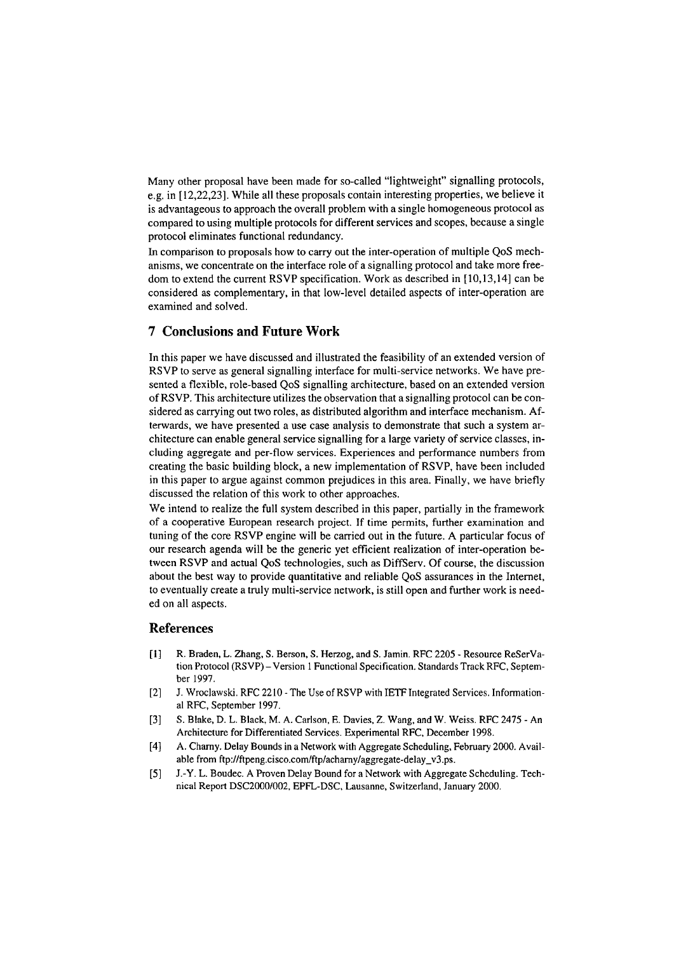Many other proposal have been made for so-called "lightweight" signalling protocols, e.g. in **[12,22,23].** While all these proposals contain interesting properties, we believe it is advantageous to approach the overall problem with a single homogeneous protocol as compared to using multiple protocols for different services and scopes, because a single protocol eliminates functional redundancy.

**Ln** comparison to proposals how to carry out the inter-operation of multiple QoS mechanisms, we concentrate on the interface role of a signalling protocol and take more freedom to extend the current RSVP specification. Work as described in [10,13,14] can be considered as complementary, in that low-level detailed aspects of inter-operation are examined and solved.

# **7 Conclusions and Future Work**

In this paper we have discussed and illustrated the feasibility of an extended version of RSVP to serve as general signalling interface for multi-service networks. We have presented a flexible, role-based QoS signalling architecture, based on an extended version of RSVP. This architecture utilizes the observation that a signalling protocol can be considered as carrying out two roles, as distributed algorithm and interface mechanism. **Af**tenvards, we have presented a use case analysis to demonstrate that such a system architecture can enable general service signalling for a large variety of service classes, including aggregate and per-flow services. Experiences and performance numbers from creating the basic building block, a new implementation of RSVP, have been included in this paper to argue against common prejudices in this area. Finally, we have briefly discussed the relation of this work to other approaches.

We intend to realize the full system described in this paper, partially in the framework of a cooperative European research project. If time permits, further examination and tuning of the core RSVP engine will be carried out in the future. A particular focus of our research agenda will be the generic yet efficient realization of inter-operation between RSVP and actual QoS technologies, such as DiffServ. Of Course, the discussion about the best way to provide quantitative and reliable QoS assurances in the Intemet, to eventually create a truly multi-service network, is still open and further work is needed on all aspects.

### **References**

- [I] R. Braden, L. Zhang, S. Berson, S. Herzog, and S. Jamin. RFC 2205 Resource ReSerVation Protocol (RSVP) -Version 1 Functional Specification. Standards Track RFC, September 1997.
- [2] J. Wroclawski. RFC 2210 The Use of RSVP with IETF Integrated Services. Informational RFC, September 1997.
- **[3]** S. Blake, D. L. Black, M. A. Carlson, E. Davies, Z. Wang, and W. Weiss. RFC 2475 An Architecture for Differentiated Services. Experimental RFC, December 1998.
- [4] A. Chamy. Delay Bounds in a Network with Aggregate Scheduling, February 2000. Available from ftp://ftpeng.cisco.com/ftp/acharny/aggregate-delay\_v3.ps.
- **[5] J.-Y.** L. Boudec. A Proven Delay Bound for a Network with Aggregate Scheduling. Technical Report DSC20001002, EPFL-DSC, Lausanne, Switzerland, January 2000.